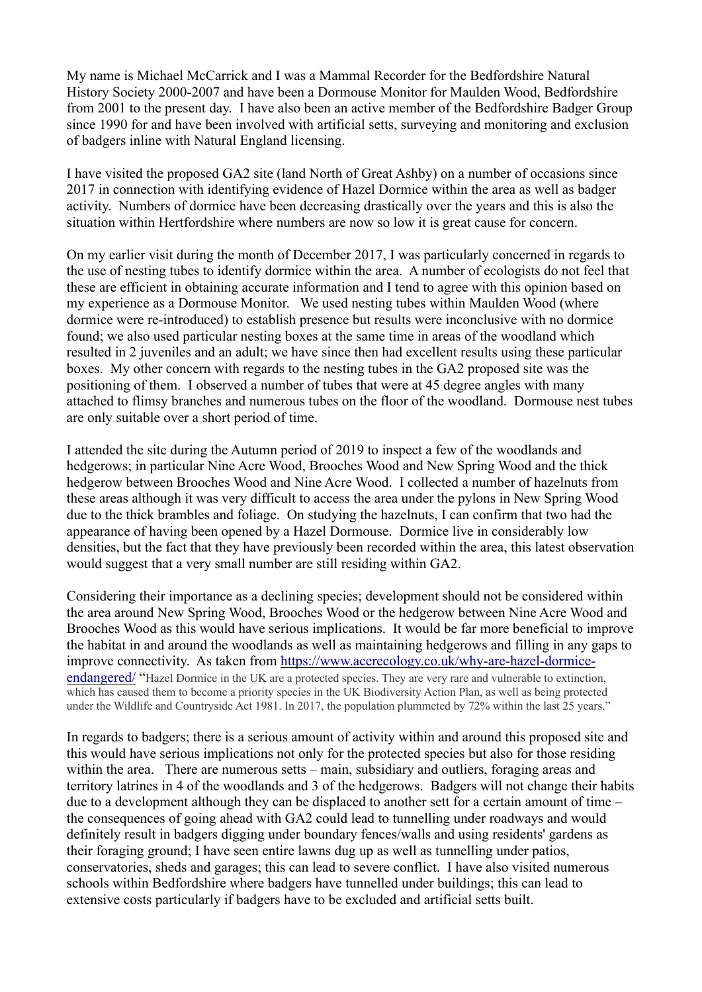My name is Michael McCarrick and I was a Mammal Recorder for the Bedfordshire Natural History Society 2000-2007 and have been a Dormouse Monitor for Maulden Wood, Bedfordshire from 2001 to the present day. I have also been an active member of the Bedfordshire Badger Group since 1990 for and have been involved with artificial setts, surveying and monitoring and exclusion of badgers inline with Natural England licensing.

I have visited the proposed GA2 site (land North of Great Ashby) on a number of occasions since 2017 in connection with identifying evidence of Hazel Dormice within the area as well as badger activity. Numbers of dormice have been decreasing drastically over the years and this is also the situation within Hertfordshire where numbers are now so low it is great cause for concern.

On my earlier visit during the month of December 2017, I was particularly concerned in regards to the use of nesting tubes to identify dormice within the area. A number of ecologists do not feel that these are efficient in obtaining accurate information and I tend to agree with this opinion based on my experience as a Dormouse Monitor. We used nesting tubes within Maulden Wood (where dormice were re-introduced) to establish presence but results were inconclusive with no dormice found; we also used particular nesting boxes at the same time in areas of the woodland which resulted in 2 juveniles and an adult; we have since then had excellent results using these particular boxes. My other concern with regards to the nesting tubes in the GA2 proposed site was the positioning of them. I observed a number of tubes that were at 45 degree angles with many attached to flimsy branches and numerous tubes on the floor of the woodland. Dormouse nest tubes are only suitable over a short period of time.

I attended the site during the Autumn period of 2019 to inspect a few of the woodlands and hedgerows; in particular Nine Acre Wood, Brooches Wood and New Spring Wood and the thick hedgerow between Brooches Wood and Nine Acre Wood. I collected a number of hazelnuts from these areas although it was very difficult to access the area under the pylons in New Spring Wood due to the thick brambles and foliage. On studying the hazelnuts, I can confirm that two had the appearance of having been opened by a Hazel Dormouse. Dormice live in considerably low densities, but the fact that they have previously been recorded within the area, this latest observation would suggest that a very small number are still residing within GA2.

Considering their importance as a declining species; development should not be considered within the area around New Spring Wood, Brooches Wood or the hedgerow between Nine Acre Wood and Brooches Wood as this would have serious implications. It would be far more beneficial to improve the habitat in and around the woodlands as well as maintaining hedgerows and filling in any gaps to improve connectivity. As taken from https://www.acerecology.co.uk/why-are-hazel-dormiceendangered/ "Hazel Dormice in the UK are a protected species. They are very rare and vulnerable to extinction, which has caused them to become a priority species in the UK Biodiversity Action Plan, as well as being protected under the Wildlife and Countryside Act 1981. In 2017, the population plummeted by 72% within the last 25 years."

In regards to badgers; there is a serious amount of activity within and around this proposed site and this would have serious implications not only for the protected species but also for those residing within the area. There are numerous setts – main, subsidiary and outliers, foraging areas and territory latrines in 4 of the woodlands and 3 of the hedgerows. Badgers will not change their habits due to a development although they can be displaced to another sett for a certain amount of time – the consequences of going ahead with GA2 could lead to tunnelling under roadways and would definitely result in badgers digging under boundary fences/walls and using residents' gardens as their foraging ground; I have seen entire lawns dug up as well as tunnelling under patios, conservatories, sheds and garages; this can lead to severe conflict. I have also visited numerous schools within Bedfordshire where badgers have tunnelled under buildings; this can lead to extensive costs particularly if badgers have to be excluded and artificial setts built.